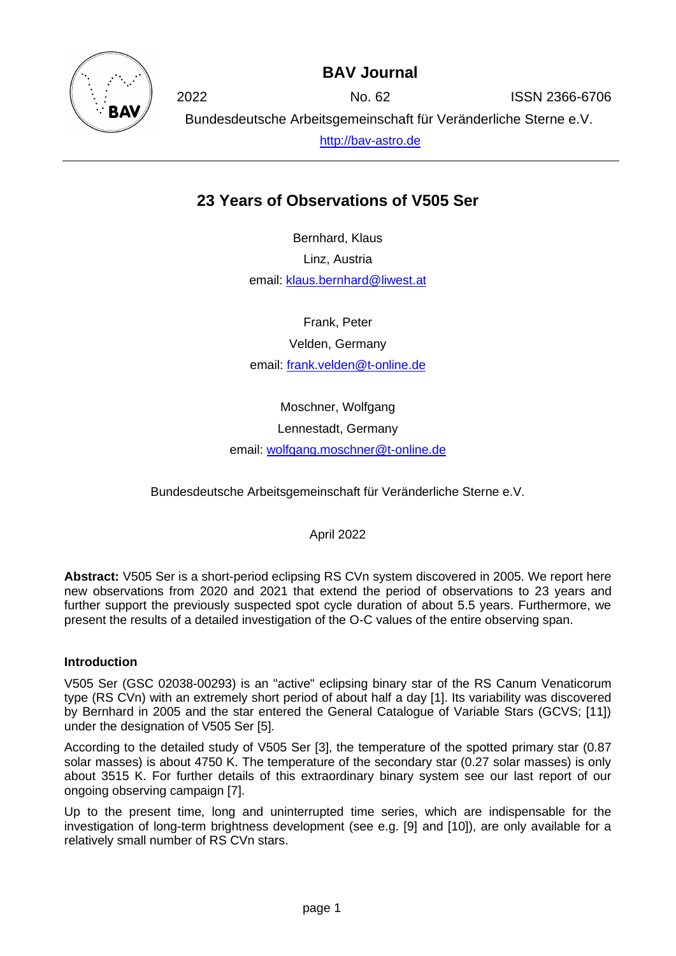

## **BAV Journal**

2022 No. 62 ISSN 2366-6706 Bundesdeutsche Arbeitsgemeinschaft für Veränderliche Sterne e.V. [http://bav-astro.de](http://bav-astro.de/)

# **23 Years of Observations of V505 Ser**

Bernhard, Klaus Linz, Austria email: [klaus.bernhard@liwest.at](mailto:klaus.bernhard@liwest.at)

Frank, Peter

Velden, Germany

email: [frank.velden@t-online.de](mailto:frank.velden@t-online.de)

Moschner, Wolfgang Lennestadt, Germany email: [wolfgang.moschner@t-online.de](mailto:wolfgang.moschner@t-online.de)

Bundesdeutsche Arbeitsgemeinschaft für Veränderliche Sterne e.V.

April 2022

**Abstract:** V505 Ser is a short-period eclipsing RS CVn system discovered in 2005. We report here new observations from 2020 and 2021 that extend the period of observations to 23 years and further support the previously suspected spot cycle duration of about 5.5 years. Furthermore, we present the results of a detailed investigation of the O-C values of the entire observing span.

### **Introduction**

V505 Ser (GSC 02038-00293) is an "active" eclipsing binary star of the RS Canum Venaticorum type (RS CVn) with an extremely short period of about half a day [1]. Its variability was discovered by Bernhard in 2005 and the star entered the General Catalogue of Variable Stars (GCVS; [11]) under the designation of V505 Ser [5].

According to the detailed study of V505 Ser [3], the temperature of the spotted primary star (0.87 solar masses) is about 4750 K. The temperature of the secondary star (0.27 solar masses) is only about 3515 K. For further details of this extraordinary binary system see our last report of our ongoing observing campaign [7].

Up to the present time, long and uninterrupted time series, which are indispensable for the investigation of long-term brightness development (see e.g. [9] and [10]), are only available for a relatively small number of RS CVn stars.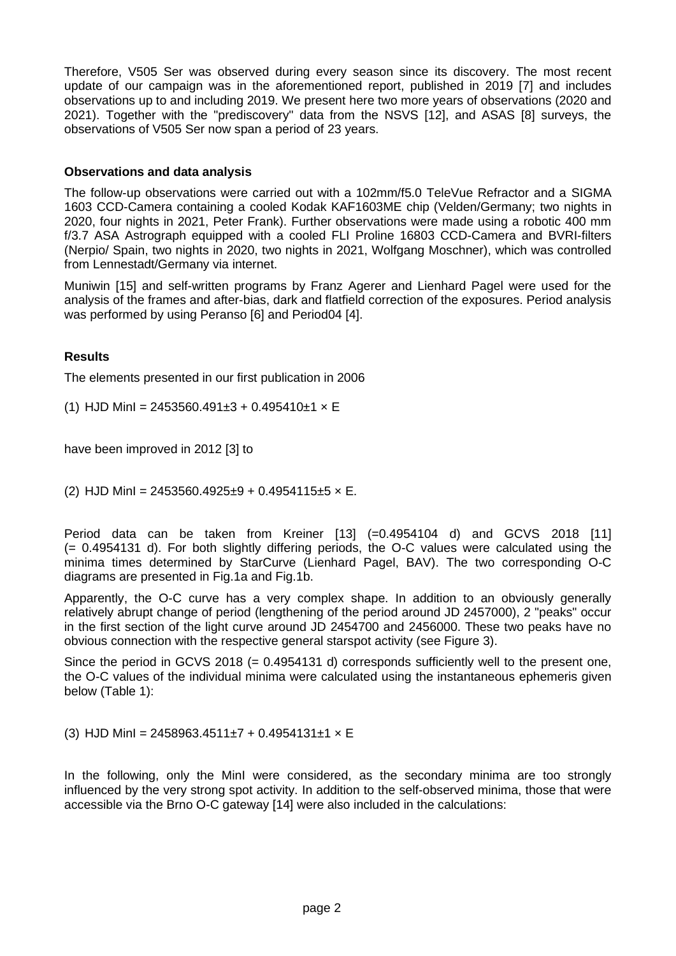Therefore, V505 Ser was observed during every season since its discovery. The most recent update of our campaign was in the aforementioned report, published in 2019 [7] and includes observations up to and including 2019. We present here two more years of observations (2020 and 2021). Together with the "prediscovery" data from the NSVS [12], and ASAS [8] surveys, the observations of V505 Ser now span a period of 23 years.

#### **Observations and data analysis**

The follow-up observations were carried out with a 102mm/f5.0 TeleVue Refractor and a SIGMA 1603 CCD-Camera containing a cooled Kodak KAF1603ME chip (Velden/Germany; two nights in 2020, four nights in 2021, Peter Frank). Further observations were made using a robotic 400 mm f/3.7 ASA Astrograph equipped with a cooled FLI Proline 16803 CCD-Camera and BVRI-filters (Nerpio/ Spain, two nights in 2020, two nights in 2021, Wolfgang Moschner), which was controlled from Lennestadt/Germany via internet.

Muniwin [15] and self-written programs by Franz Agerer and Lienhard Pagel were used for the analysis of the frames and after-bias, dark and flatfield correction of the exposures. Period analysis was performed by using Peranso [6] and Period04 [4].

#### **Results**

The elements presented in our first publication in 2006

(1) HJD MinI =  $2453560.491\pm3 + 0.495410\pm1 \times E$ 

have been improved in 2012 [3] to

(2) HJD MinI =  $2453560.4925\pm9 + 0.4954115\pm5 \times E$ .

Period data can be taken from Kreiner [13] (=0.4954104 d) and GCVS 2018 [11] (= 0.4954131 d). For both slightly differing periods, the O-C values were calculated using the minima times determined by StarCurve (Lienhard Pagel, BAV). The two corresponding O-C diagrams are presented in Fig.1a and Fig.1b.

Apparently, the O-C curve has a very complex shape. In addition to an obviously generally relatively abrupt change of period (lengthening of the period around JD 2457000), 2 "peaks" occur in the first section of the light curve around JD 2454700 and 2456000. These two peaks have no obvious connection with the respective general starspot activity (see Figure 3).

Since the period in GCVS 2018 (= 0.4954131 d) corresponds sufficiently well to the present one, the O-C values of the individual minima were calculated using the instantaneous ephemeris given below (Table 1):

(3) HJD MinI = 2458963.4511±7 + 0.4954131±1  $\times$  E

In the following, only the MinI were considered, as the secondary minima are too strongly influenced by the very strong spot activity. In addition to the self-observed minima, those that were accessible via the Brno O-C gateway [14] were also included in the calculations: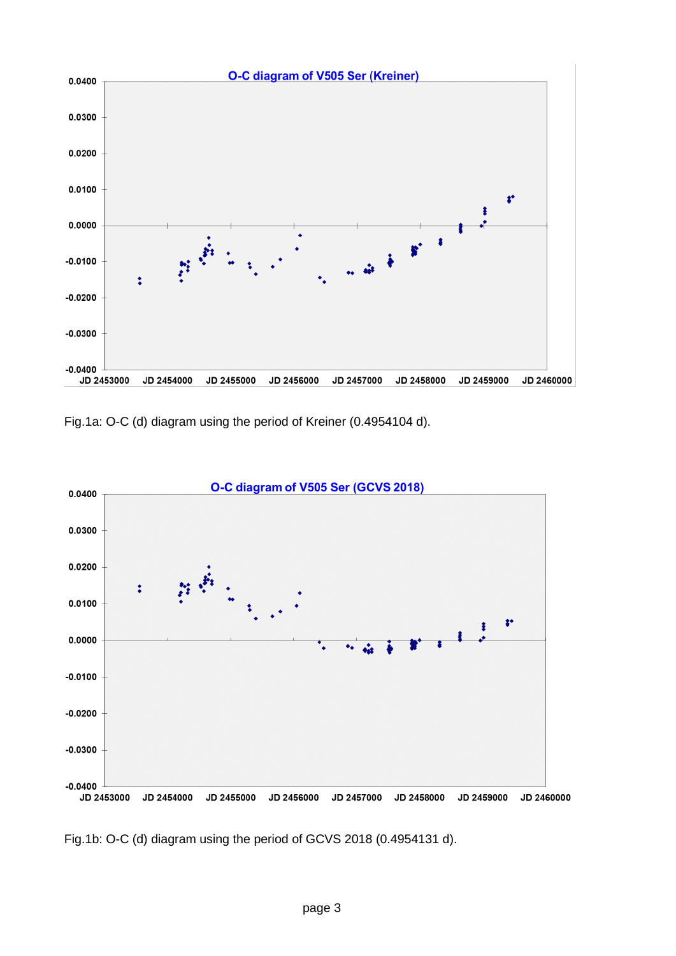

Fig.1a: O-C (d) diagram using the period of Kreiner (0.4954104 d).



Fig.1b: O-C (d) diagram using the period of GCVS 2018 (0.4954131 d).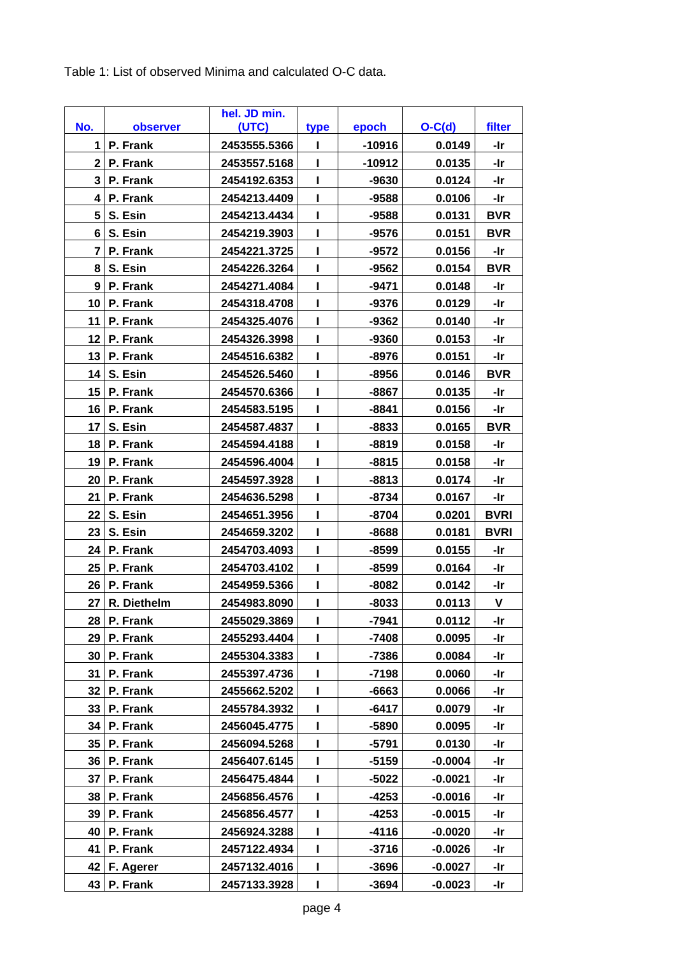Table 1: List of observed Minima and calculated O-C data.

| No.                 |                      | hel. JD min.<br>(UTC)        |      |                   | $O-C(d)$         | filter            |
|---------------------|----------------------|------------------------------|------|-------------------|------------------|-------------------|
| 1                   | observer<br>P. Frank | 2453555.5366                 | type | epoch<br>$-10916$ | 0.0149           | -Ir               |
| 2 <sub>1</sub>      | P. Frank             | 2453557.5168                 | I    | $-10912$          | 0.0135           | -Ir               |
| 3                   | P. Frank             | 2454192.6353                 |      | -9630             | 0.0124           | -Ir               |
| 4                   | P. Frank             | 2454213.4409                 |      | $-9588$           | 0.0106           | -Ir               |
| 5                   | S. Esin              | 2454213.4434                 |      | -9588             | 0.0131           | <b>BVR</b>        |
|                     |                      |                              |      | $-9576$           |                  | <b>BVR</b>        |
| 6 I<br>$\mathbf{7}$ | S. Esin              | 2454219.3903                 | I    |                   | 0.0151           |                   |
| 8                   | P. Frank             | 2454221.3725                 |      | -9572             | 0.0156<br>0.0154 | -Ir<br><b>BVR</b> |
| 9 <sup>1</sup>      | S. Esin<br>P. Frank  | 2454226.3264                 |      | -9562             |                  | -Ir               |
| 10 <sup>1</sup>     |                      | 2454271.4084                 |      | -9471             | 0.0148           | -Ir               |
| 11                  | P. Frank<br>P. Frank | 2454318.4708<br>2454325.4076 | ı    | -9376<br>$-9362$  | 0.0129<br>0.0140 | -Ir               |
| 12 <sub>2</sub>     |                      |                              |      |                   |                  |                   |
|                     | P. Frank             | 2454326.3998                 | I    | -9360             | 0.0153           | -Ir               |
| 13 <sup>1</sup>     | P. Frank             | 2454516.6382                 | ı    | -8976             | 0.0151           | -Ir               |
| 14                  | S. Esin              | 2454526.5460                 |      | $-8956$           | 0.0146           | <b>BVR</b>        |
| 15                  | P. Frank             | 2454570.6366                 | ı    | -8867             | 0.0135           | -Ir               |
| 16                  | P. Frank             | 2454583.5195                 |      | -8841             | 0.0156           | -Ir               |
| 17                  | S. Esin              | 2454587.4837                 |      | $-8833$           | 0.0165           | <b>BVR</b>        |
| 18                  | P. Frank             | 2454594.4188                 |      | $-8819$           | 0.0158           | -Ir               |
| 19                  | P. Frank             | 2454596.4004                 | I    | -8815             | 0.0158           | -Ir               |
| 20                  | P. Frank             | 2454597.3928                 | ı    | $-8813$           | 0.0174           | -Ir               |
| 21                  | P. Frank             | 2454636.5298                 |      | $-8734$           | 0.0167           | -Ir               |
| 22                  | S. Esin              | 2454651.3956                 |      | -8704             | 0.0201           | <b>BVRI</b>       |
| 23                  | S. Esin              | 2454659.3202                 | ı    | -8688             | 0.0181           | <b>BVRI</b>       |
| 24                  | P. Frank             | 2454703.4093                 |      | -8599             | 0.0155           | -Ir               |
| 25                  | P. Frank             | 2454703.4102                 |      | $-8599$           | 0.0164           | -Ir               |
| 26 <sup>1</sup>     | P. Frank             | 2454959.5366                 | ı    | $-8082$           | 0.0142           | -Ir               |
| 27                  | R. Diethelm          | 2454983.8090                 |      | $-8033$           | 0.0113           | V                 |
| 28                  | P. Frank             | 2455029.3869                 | ı    | -7941             | 0.0112           | -Ir               |
| 29                  | P. Frank             | 2455293.4404                 |      | $-7408$           | 0.0095           | -Ir               |
| 30                  | P. Frank             | 2455304.3383                 |      | -7386             | 0.0084           | -Ir               |
| 31                  | P. Frank             | 2455397.4736                 |      | $-7198$           | 0.0060           | -Ir               |
| 32                  | P. Frank             | 2455662.5202                 |      | $-6663$           | 0.0066           | -Ir               |
| 33                  | P. Frank             | 2455784.3932                 |      | $-6417$           | 0.0079           | -Ir               |
| 34                  | P. Frank             | 2456045.4775                 |      | -5890             | 0.0095           | -Ir               |
| 35                  | P. Frank             | 2456094.5268                 |      | $-5791$           | 0.0130           | -Ir               |
| 36                  | P. Frank             | 2456407.6145                 |      | $-5159$           | $-0.0004$        | -Ir               |
| 37                  | P. Frank             | 2456475.4844                 |      | -5022             | $-0.0021$        | -Ir               |
| 38                  | P. Frank             | 2456856.4576                 |      | -4253             | $-0.0016$        | -Ir               |
| 39                  | P. Frank             | 2456856.4577                 |      | $-4253$           | $-0.0015$        | -Ir               |
| 40                  | P. Frank             | 2456924.3288                 |      | $-4116$           | $-0.0020$        | -Ir               |
| 41                  | P. Frank             | 2457122.4934                 |      | $-3716$           | $-0.0026$        | -Ir               |
| 42                  | F. Agerer            | 2457132.4016                 |      | $-3696$           | $-0.0027$        | -Ir               |
| 43                  | P. Frank             | 2457133.3928                 |      | -3694             | $-0.0023$        | -Ir               |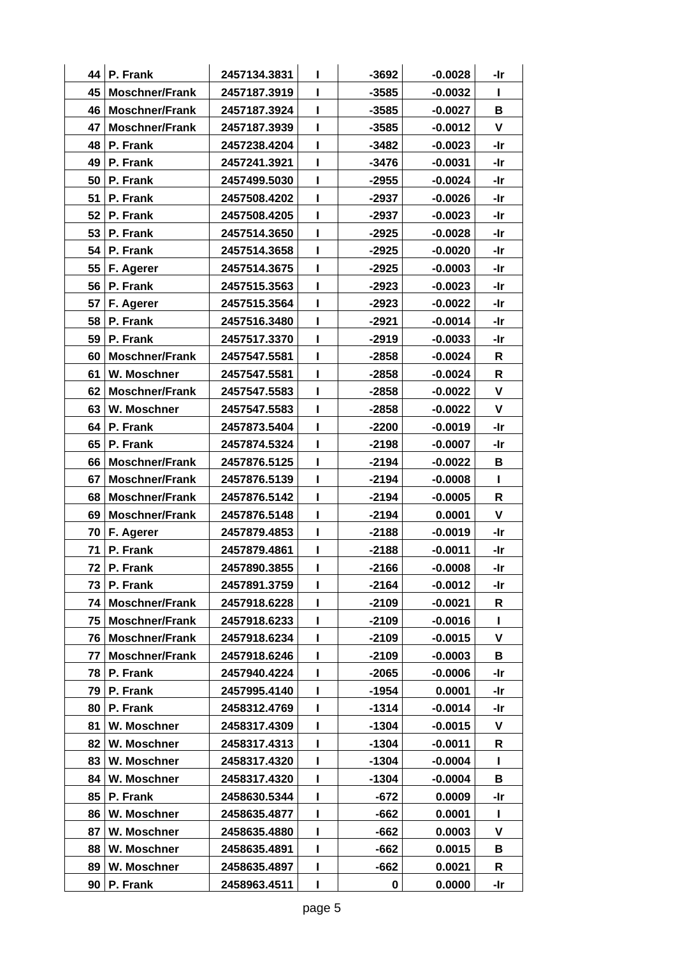|    | 44   P. Frank         | 2457134.3831 | L            | $-3692$ | $-0.0028$ | -Ir          |
|----|-----------------------|--------------|--------------|---------|-----------|--------------|
| 45 | <b>Moschner/Frank</b> | 2457187.3919 | п            | $-3585$ | $-0.0032$ | L            |
| 46 | Moschner/Frank        | 2457187.3924 | L            | $-3585$ | $-0.0027$ | B            |
| 47 | <b>Moschner/Frank</b> | 2457187.3939 | L            | $-3585$ | $-0.0012$ | $\mathsf{V}$ |
| 48 | P. Frank              | 2457238.4204 | $\mathbf{I}$ | $-3482$ | $-0.0023$ | -Ir          |
| 49 | P. Frank              | 2457241.3921 | $\mathbf{I}$ | $-3476$ | $-0.0031$ | -Ir          |
| 50 | P. Frank              | 2457499.5030 | $\mathbf{I}$ | $-2955$ | $-0.0024$ | -Ir          |
| 51 | P. Frank              | 2457508.4202 | $\mathbf{I}$ | $-2937$ | $-0.0026$ | -Ir          |
| 52 | P. Frank              | 2457508.4205 | п            | $-2937$ | $-0.0023$ | -Ir          |
| 53 | P. Frank              | 2457514.3650 | ı            | $-2925$ | $-0.0028$ | -Ir          |
| 54 | P. Frank              | 2457514.3658 | L            | $-2925$ | $-0.0020$ | -Ir          |
| 55 | F. Agerer             | 2457514.3675 | $\mathbf{I}$ | $-2925$ | $-0.0003$ | -Ir          |
| 56 | P. Frank              | 2457515.3563 | I.           | $-2923$ | $-0.0023$ | -Ir          |
| 57 | F. Agerer             | 2457515.3564 | ı            | $-2923$ | $-0.0022$ | -Ir          |
| 58 | P. Frank              | 2457516.3480 | L            | $-2921$ | $-0.0014$ | -Ir          |
| 59 | P. Frank              | 2457517.3370 | L            | $-2919$ | $-0.0033$ | -Ir          |
| 60 | <b>Moschner/Frank</b> | 2457547.5581 | L            | $-2858$ | $-0.0024$ | R            |
| 61 | W. Moschner           | 2457547.5581 | L            | $-2858$ | $-0.0024$ | $\mathsf{R}$ |
| 62 | <b>Moschner/Frank</b> | 2457547.5583 | L            | $-2858$ | $-0.0022$ | V            |
| 63 | W. Moschner           | 2457547.5583 | L            | $-2858$ | $-0.0022$ | $\mathbf v$  |
| 64 | P. Frank              | 2457873.5404 | ı            | $-2200$ | $-0.0019$ | -Ir          |
| 65 | P. Frank              | 2457874.5324 | ı            | $-2198$ | $-0.0007$ | -Ir          |
| 66 | <b>Moschner/Frank</b> | 2457876.5125 | L            | $-2194$ | $-0.0022$ | В            |
| 67 | <b>Moschner/Frank</b> | 2457876.5139 | $\mathbf{I}$ | $-2194$ | $-0.0008$ | L            |
| 68 | <b>Moschner/Frank</b> | 2457876.5142 | I.           | $-2194$ | $-0.0005$ | $\mathsf{R}$ |
| 69 | <b>Moschner/Frank</b> | 2457876.5148 | ı            | $-2194$ | 0.0001    | $\mathbf v$  |
| 70 | F. Agerer             | 2457879.4853 | ı            | $-2188$ | $-0.0019$ | -Ir          |
| 71 | P. Frank              | 2457879.4861 | L            | $-2188$ | $-0.0011$ | -Ir          |
|    | $72$ P. Frank         | 2457890.3855 | L            | $-2166$ | $-0.0008$ | -Ir          |
| 73 | P. Frank              | 2457891.3759 | L            | $-2164$ | $-0.0012$ | -Ir          |
| 74 | <b>Moschner/Frank</b> | 2457918.6228 | L            | $-2109$ | $-0.0021$ | R            |
| 75 | <b>Moschner/Frank</b> | 2457918.6233 | ı            | $-2109$ | $-0.0016$ | L            |
| 76 | <b>Moschner/Frank</b> | 2457918.6234 |              | $-2109$ | $-0.0015$ | ۷            |
| 77 | <b>Moschner/Frank</b> | 2457918.6246 |              | $-2109$ | $-0.0003$ | В            |
| 78 | P. Frank              | 2457940.4224 | L            | $-2065$ | $-0.0006$ | -Ir          |
| 79 | P. Frank              | 2457995.4140 | L            | $-1954$ | 0.0001    | -Ir          |
| 80 | P. Frank              | 2458312.4769 | L            | $-1314$ | $-0.0014$ | -Ir          |
| 81 | W. Moschner           | 2458317.4309 | ı            | $-1304$ | $-0.0015$ | V            |
| 82 | W. Moschner           | 2458317.4313 | L            | $-1304$ | $-0.0011$ | R            |
| 83 | W. Moschner           | 2458317.4320 | L            | $-1304$ | $-0.0004$ | L            |
| 84 | W. Moschner           | 2458317.4320 | п            | $-1304$ | $-0.0004$ | В            |
| 85 | P. Frank              | 2458630.5344 | ı            | $-672$  | 0.0009    | -Ir          |
| 86 | W. Moschner           | 2458635.4877 | L            | $-662$  | 0.0001    | L            |
| 87 | W. Moschner           | 2458635.4880 | L            | $-662$  | 0.0003    | ۷            |
| 88 | W. Moschner           | 2458635.4891 | L            | $-662$  | 0.0015    | В            |
| 89 | W. Moschner           | 2458635.4897 | L            | $-662$  | 0.0021    | R            |
| 90 | P. Frank              | 2458963.4511 | L            | 0       | 0.0000    | -Ir          |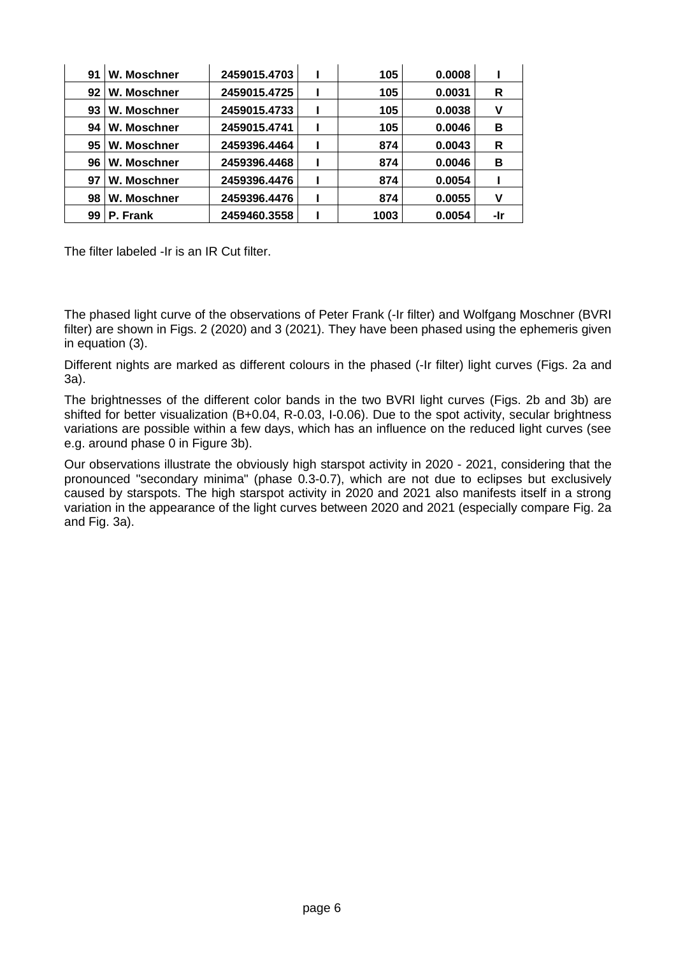| 91 | W. Moschner | 2459015.4703 | 105  | 0.0008 |     |
|----|-------------|--------------|------|--------|-----|
| 92 | W. Moschner | 2459015.4725 | 105  | 0.0031 | R   |
| 93 | W. Moschner | 2459015.4733 | 105  | 0.0038 | ٧   |
| 94 | W. Moschner | 2459015.4741 | 105  | 0.0046 | в   |
| 95 | W. Moschner | 2459396.4464 | 874  | 0.0043 | R   |
| 96 | W. Moschner | 2459396.4468 | 874  | 0.0046 | в   |
| 97 | W. Moschner | 2459396.4476 | 874  | 0.0054 |     |
| 98 | W. Moschner | 2459396.4476 | 874  | 0.0055 | ٧   |
| 99 | P. Frank    | 2459460.3558 | 1003 | 0.0054 | -Ir |

The filter labeled -Ir is an IR Cut filter.

The phased light curve of the observations of Peter Frank (-Ir filter) and Wolfgang Moschner (BVRI filter) are shown in Figs. 2 (2020) and 3 (2021). They have been phased using the ephemeris given in equation (3).

Different nights are marked as different colours in the phased (-Ir filter) light curves (Figs. 2a and 3a).

The brightnesses of the different color bands in the two BVRI light curves (Figs. 2b and 3b) are shifted for better visualization (B+0.04, R-0.03, I-0.06). Due to the spot activity, secular brightness variations are possible within a few days, which has an influence on the reduced light curves (see e.g. around phase 0 in Figure 3b).

Our observations illustrate the obviously high starspot activity in 2020 - 2021, considering that the pronounced "secondary minima" (phase 0.3-0.7), which are not due to eclipses but exclusively caused by starspots. The high starspot activity in 2020 and 2021 also manifests itself in a strong variation in the appearance of the light curves between 2020 and 2021 (especially compare Fig. 2a and Fig. 3a).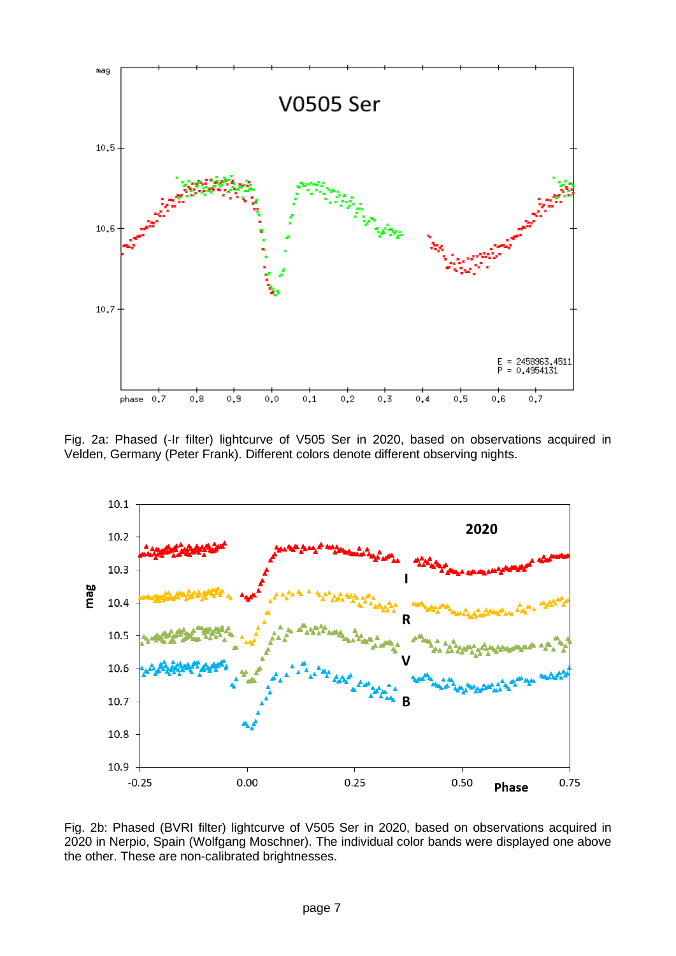

Fig. 2a: Phased (-Ir filter) lightcurve of V505 Ser in 2020, based on observations acquired in Velden, Germany (Peter Frank). Different colors denote different observing nights.

![](_page_6_Figure_2.jpeg)

Fig. 2b: Phased (BVRI filter) lightcurve of V505 Ser in 2020, based on observations acquired in 2020 in Nerpio, Spain (Wolfgang Moschner). The individual color bands were displayed one above the other. These are non-calibrated brightnesses.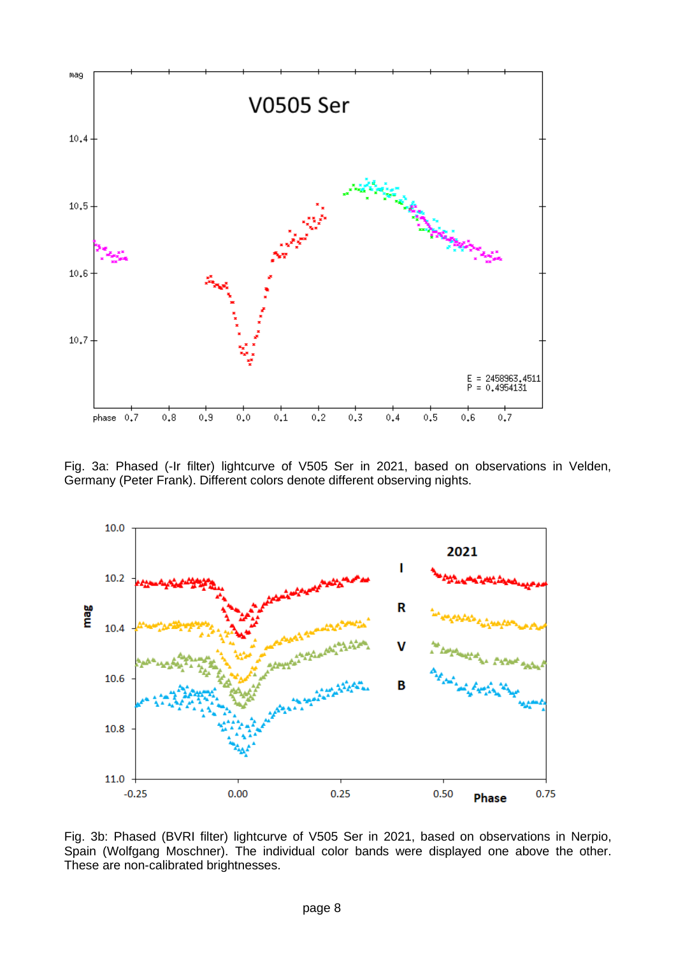![](_page_7_Figure_0.jpeg)

Fig. 3a: Phased (-Ir filter) lightcurve of V505 Ser in 2021, based on observations in Velden, Germany (Peter Frank). Different colors denote different observing nights.

![](_page_7_Figure_2.jpeg)

Fig. 3b: Phased (BVRI filter) lightcurve of V505 Ser in 2021, based on observations in Nerpio, Spain (Wolfgang Moschner). The individual color bands were displayed one above the other. These are non-calibrated brightnesses.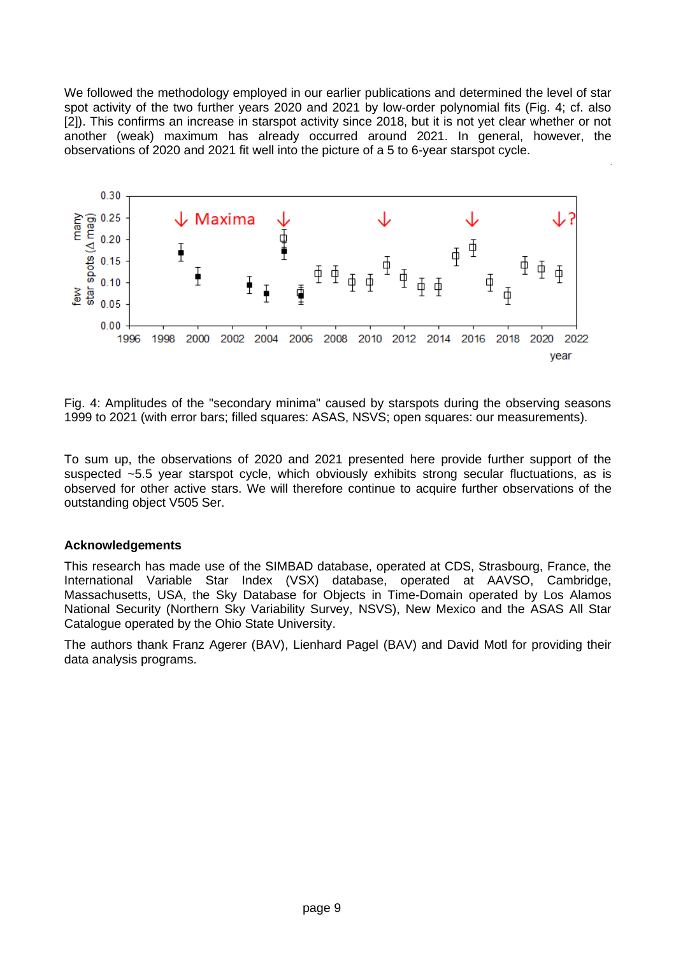We followed the methodology employed in our earlier publications and determined the level of star spot activity of the two further years 2020 and 2021 by low-order polynomial fits (Fig. 4; cf. also [2]). This confirms an increase in starspot activity since 2018, but it is not yet clear whether or not another (weak) maximum has already occurred around 2021. In general, however, the observations of 2020 and 2021 fit well into the picture of a 5 to 6-year starspot cycle.

![](_page_8_Figure_1.jpeg)

Fig. 4: Amplitudes of the "secondary minima" caused by starspots during the observing seasons 1999 to 2021 (with error bars; filled squares: ASAS, NSVS; open squares: our measurements).

To sum up, the observations of 2020 and 2021 presented here provide further support of the suspected ~5.5 year starspot cycle, which obviously exhibits strong secular fluctuations, as is observed for other active stars. We will therefore continue to acquire further observations of the outstanding object V505 Ser.

#### **Acknowledgements**

This research has made use of the SIMBAD database, operated at CDS, Strasbourg, France, the International Variable Star Index (VSX) database, operated at AAVSO, Cambridge, Massachusetts, USA, the Sky Database for Objects in Time-Domain operated by Los Alamos National Security (Northern Sky Variability Survey, NSVS), New Mexico and the ASAS All Star Catalogue operated by the Ohio State University.

The authors thank Franz Agerer (BAV), Lienhard Pagel (BAV) and David Motl for providing their data analysis programs.